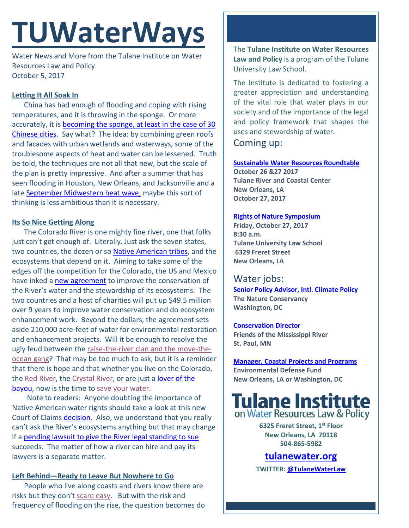# **TUWaterWays**

Water News and More from the Tulane Institute on Water Resources Law and Policy October 5, 2017

## **Letting It All Soak In**

China has had enough of flooding and coping with rising temperatures, and it is throwing in the sponge. Or more accurately, it is becoming the sponge, at least in the case of 30 [Chinese cities.](https://www.eenews.net/climatewire/2017/09/28/stories/1060061933) Say what? The idea: by combining green roofs and facades with urban wetlands and waterways, some of the troublesome aspects of heat and water can be lessened. Truth be told, the techniques are not all that new, but the scale of the plan is pretty impressive. And after a summer that has seen flooding in Houston, New Orleans, and Jacksonville and a late [September Midwestern heat wave,](http://abcnews.go.com/US/historic-heat-wave-brings-record-high-temperatures-midwest/story?id=50119794) maybe this sort of thinking is less ambitious than it is necessary.

#### **Its So Nice Getting Along**

The Colorado River is one mighty fine river, one that folks just can't get enough of. Literally. Just ask the seven states, two countries, the dozen or so [Native American tribes,](http://www.coloradoriverresearchgroup.org/uploads/4/2/3/6/42362959/crrg_tribal_water_rights.pdf) and the ecosystems that depend on it. Aiming to take some of the edges off the competition for the Colorado, the US and Mexico have inked a [new agreement](https://www.apnews.com/46ab7f5fd0c04ffa969efcdb7aba3e23/US,-Mexico-reach-deal-to-conserve-Colorado-River-water) to improve the conservation of the River's water and the stewardship of its ecosystems. The two countries and a host of charities will put up \$49.5 million over 9 years to improve water conservation and do ecosystem enhancement work. Beyond the dollars, the agreement sets aside 210,000 acre-feet of water for environmental restoration and enhancement projects. Will it be enough to resolve the ugly feud between th[e raise-the-river clan and the move-the](https://www.youtube.com/watch?v=oySDfoHuIP4)[ocean gang?](https://www.youtube.com/watch?v=oySDfoHuIP4) That may be too much to ask, but it is a reminder that there is hope and that whether you live on the Colorado, the [Red River,](https://www.youtube.com/watch?v=-9yuTCfI5NM) the [Crystal River,](https://www.youtube.com/watch?v=GuJdoHMuorY) or are just a [lover of the](https://www.youtube.com/watch?v=t3cTisQbDU0)  [bayou,](https://www.youtube.com/watch?v=t3cTisQbDU0) now is the time to [save your water.](https://www.youtube.com/watch?v=MXH6V-qVtyw)

Note to readers: Anyone doubting the importance of Native American water rights should take a look at this new Court of Claims [decision.](https://ecf.cofc.uscourts.gov/cgi-bin/show_public_doc?2007cv0194-129-0) Also, we understand that you really can't ask the River's ecosystems anything but that may change if a [pending lawsuit to give the River legal standing to sue](https://www.nytimes.com/2017/09/26/us/does-the-colorado-river-have-rights-a-lawsuit-seeks-to-declare-it-a-person.html?_r=0) succeeds. The matter of how a river can hire and pay its lawyers is a separate matter.

### **Left Behind—Ready to Leave But Nowhere to Go**

People who live along coasts and rivers know there are risks but they don't [scare easy.](https://www.youtube.com/watch?v=oOpZTWelU0Q) But with the risk and frequency of flooding on the rise, the question becomes do The **Tulane Institute on Water Resources Law and Policy** is a program of the Tulane University Law School.

The Institute is dedicated to fostering a greater appreciation and understanding of the vital role that water plays in our society and of the importance of the legal and policy framework that shapes the uses and stewardship of water.

Coming up:

**[Sustainable Water Resources Roundtable](http://www.floridaearth.org/index.cfm?fuseaction=events.details&content_id=10) October 26 &27 2017**

**Tulane River and Coastal Center New Orleans, LA October 27, 2017**

#### **[Rights of Nature Symposium](https://celdf.org/rights-nature-symposium/)**

**Friday, October 27, 2017 8:30 a.m. Tulane University Law School 6329 Freret Street New Orleans, LA**

# Water jobs:

**[Senior Policy Advisor, Intl. Climate Policy](https://careers.nature.org/psp/tnccareers/APPLICANT/APPL/c/HRS_HRAM.HRS_APP_SCHJOB.GBL?Page=HRS_APP_JBPST&Action=U&FOCUS=Applicant&SiteId=1&JobOpeningId=45750&PostingSeq=1) The Nature Conservancy Washington, DC**

**[Conservation Director](https://fmr.org/news/2017/08/25/position-announcement-conservation-director) Friends of the Mississippi River St. Paul, MN**

**[Manager, Coastal Projects and Programs](https://www.edf.org/jobs/manager-coastal-projects-and-programs-mrd) Environmental Defense Fund New Orleans, LA or Washington, DC**

# **Tulane Institute**<br>on Water Resources Law & Policy

**6325 Freret Street, 1st Floor New Orleans, LA 70118 504-865-5982** 

**tulanewater.org**

**TWITTER: [@TulaneWaterLaw](http://www.twitter.com/TulaneWaterLaw)**